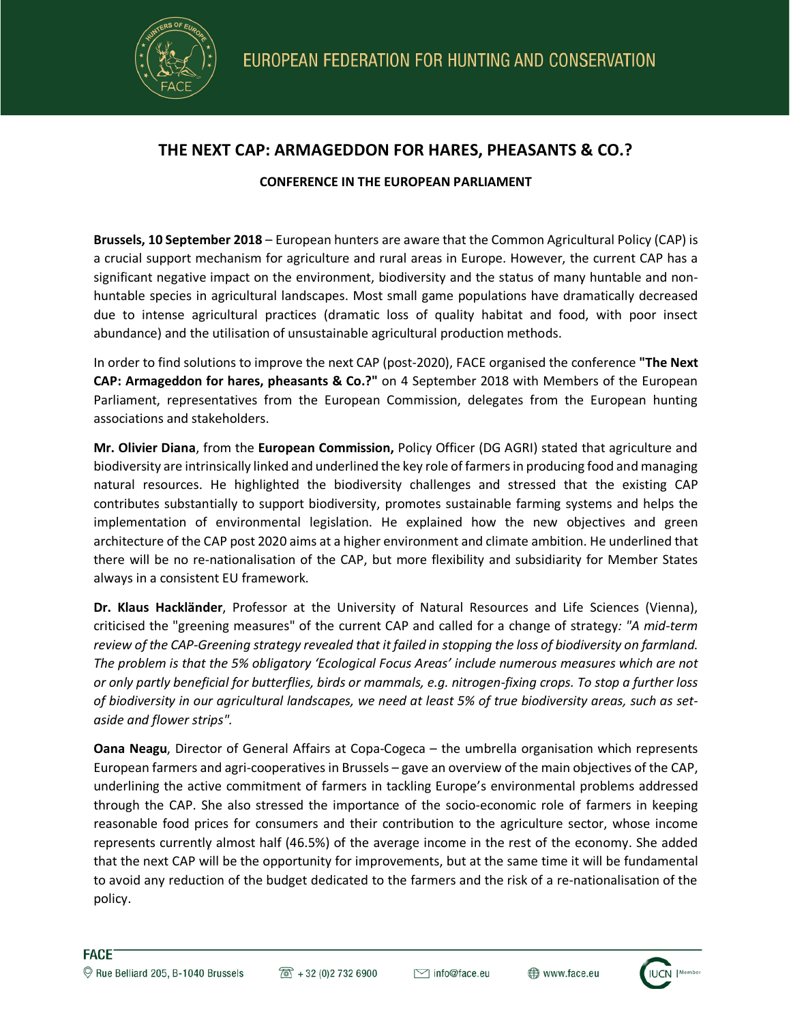

## **THE NEXT CAP: ARMAGEDDON FOR HARES, PHEASANTS & CO.?**

## **CONFERENCE IN THE EUROPEAN PARLIAMENT**

**Brussels, 10 September 2018** – European hunters are aware that the Common Agricultural Policy (CAP) is a crucial support mechanism for agriculture and rural areas in Europe. However, the current CAP has a significant negative impact on the environment, biodiversity and the status of many huntable and nonhuntable species in agricultural landscapes. Most small game populations have dramatically decreased due to intense agricultural practices (dramatic loss of quality habitat and food, with poor insect abundance) and the utilisation of unsustainable agricultural production methods.

In order to find solutions to improve the next CAP (post-2020), FACE organised the conference **"The Next CAP: Armageddon for hares, pheasants & Co.?"** on 4 September 2018 with Members of the European Parliament, representatives from the European Commission, delegates from the European hunting associations and stakeholders.

**Mr. Olivier Diana**, from the **European Commission,** Policy Officer (DG AGRI) stated that agriculture and biodiversity are intrinsically linked and underlined the key role of farmers in producing food and managing natural resources. He highlighted the biodiversity challenges and stressed that the existing CAP contributes substantially to support biodiversity, promotes sustainable farming systems and helps the implementation of environmental legislation. He explained how the new objectives and green architecture of the CAP post 2020 aims at a higher environment and climate ambition. He underlined that there will be no re-nationalisation of the CAP, but more flexibility and subsidiarity for Member States always in a consistent EU framework.

**Dr. Klaus Hackländer**, Professor at the University of Natural Resources and Life Sciences (Vienna), criticised the "greening measures" of the current CAP and called for a change of strategy*: "A mid-term review of the CAP-Greening strategy revealed that it failed in stopping the loss of biodiversity on farmland. The problem is that the 5% obligatory 'Ecological Focus Areas' include numerous measures which are not or only partly beneficial for butterflies, birds or mammals, e.g. nitrogen-fixing crops. To stop a further loss of biodiversity in our agricultural landscapes, we need at least 5% of true biodiversity areas, such as setaside and flower strips".*

**Oana Neagu**, Director of General Affairs at Copa-Cogeca – the umbrella organisation which represents European farmers and agri-cooperatives in Brussels – gave an overview of the main objectives of the CAP, underlining the active commitment of farmers in tackling Europe's environmental problems addressed through the CAP. She also stressed the importance of the socio-economic role of farmers in keeping reasonable food prices for consumers and their contribution to the agriculture sector, whose income represents currently almost half (46.5%) of the average income in the rest of the economy. She added that the next CAP will be the opportunity for improvements, but at the same time it will be fundamental to avoid any reduction of the budget dedicated to the farmers and the risk of a re-nationalisation of the policy.